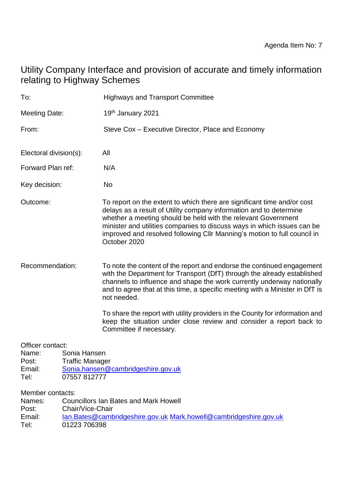# Utility Company Interface and provision of accurate and timely information relating to Highway Schemes

| To:                                                                     |                                                                                                                                                                                      | <b>Highways and Transport Committee</b>                                                                                                                                                                                                                                                                                                                                               |
|-------------------------------------------------------------------------|--------------------------------------------------------------------------------------------------------------------------------------------------------------------------------------|---------------------------------------------------------------------------------------------------------------------------------------------------------------------------------------------------------------------------------------------------------------------------------------------------------------------------------------------------------------------------------------|
| <b>Meeting Date:</b>                                                    |                                                                                                                                                                                      | 19 <sup>th</sup> January 2021                                                                                                                                                                                                                                                                                                                                                         |
| From:                                                                   |                                                                                                                                                                                      | Steve Cox – Executive Director, Place and Economy                                                                                                                                                                                                                                                                                                                                     |
| Electoral division(s):                                                  |                                                                                                                                                                                      | All                                                                                                                                                                                                                                                                                                                                                                                   |
| Forward Plan ref:                                                       |                                                                                                                                                                                      | N/A                                                                                                                                                                                                                                                                                                                                                                                   |
| Key decision:                                                           |                                                                                                                                                                                      | No                                                                                                                                                                                                                                                                                                                                                                                    |
| Outcome:                                                                |                                                                                                                                                                                      | To report on the extent to which there are significant time and/or cost<br>delays as a result of Utility company information and to determine<br>whether a meeting should be held with the relevant Government<br>minister and utilities companies to discuss ways in which issues can be<br>improved and resolved following CIIr Manning's motion to full council in<br>October 2020 |
| Recommendation:                                                         |                                                                                                                                                                                      | To note the content of the report and endorse the continued engagement<br>with the Department for Transport (DfT) through the already established<br>channels to influence and shape the work currently underway nationally<br>and to agree that at this time, a specific meeting with a Minister in DfT is<br>not needed.                                                            |
|                                                                         |                                                                                                                                                                                      | To share the report with utility providers in the County for information and<br>keep the situation under close review and consider a report back to<br>Committee if necessary.                                                                                                                                                                                                        |
| Officer contact:<br>Name:<br>Post:<br>Email:<br>Tel:<br>Names:<br>Post: | Sonia Hansen<br><b>Traffic Manager</b><br>Sonia.hansen@cambridgeshire.gov.uk<br>07557 812777<br>Member contacts:<br><b>Councillors Ian Bates and Mark Howell</b><br>Chair/Vice-Chair |                                                                                                                                                                                                                                                                                                                                                                                       |
| Email:<br>$T \cap F$                                                    | <u>Ian.Bates@cambridgeshire.gov.uk Mark.howell@cambridgeshire.gov.uk</u><br>01223 706308                                                                                             |                                                                                                                                                                                                                                                                                                                                                                                       |

Tel: 01223 706398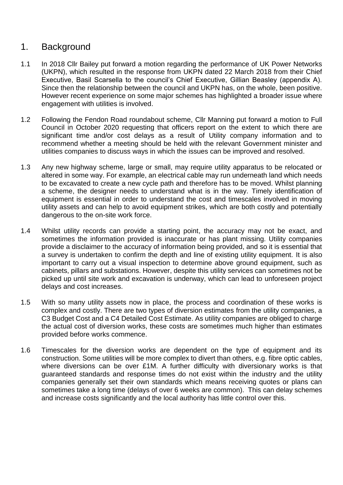## 1. Background

- 1.1 In 2018 Cllr Bailey put forward a motion regarding the performance of UK Power Networks (UKPN), which resulted in the response from UKPN dated 22 March 2018 from their Chief Executive, Basil Scarsella to the council's Chief Executive, Gillian Beasley (appendix A). Since then the relationship between the council and UKPN has, on the whole, been positive. However recent experience on some major schemes has highlighted a broader issue where engagement with utilities is involved.
- 1.2 Following the Fendon Road roundabout scheme, Cllr Manning put forward a motion to Full Council in October 2020 requesting that officers report on the extent to which there are significant time and/or cost delays as a result of Utility company information and to recommend whether a meeting should be held with the relevant Government minister and utilities companies to discuss ways in which the issues can be improved and resolved.
- 1.3 Any new highway scheme, large or small, may require utility apparatus to be relocated or altered in some way. For example, an electrical cable may run underneath land which needs to be excavated to create a new cycle path and therefore has to be moved. Whilst planning a scheme, the designer needs to understand what is in the way. Timely identification of equipment is essential in order to understand the cost and timescales involved in moving utility assets and can help to avoid equipment strikes, which are both costly and potentially dangerous to the on-site work force.
- 1.4 Whilst utility records can provide a starting point, the accuracy may not be exact, and sometimes the information provided is inaccurate or has plant missing. Utility companies provide a disclaimer to the accuracy of information being provided, and so it is essential that a survey is undertaken to confirm the depth and line of existing utility equipment. It is also important to carry out a visual inspection to determine above ground equipment, such as cabinets, pillars and substations. However, despite this utility services can sometimes not be picked up until site work and excavation is underway, which can lead to unforeseen project delays and cost increases.
- 1.5 With so many utility assets now in place, the process and coordination of these works is complex and costly. There are two types of diversion estimates from the utility companies, a C3 Budget Cost and a C4 Detailed Cost Estimate. As utility companies are obliged to charge the actual cost of diversion works, these costs are sometimes much higher than estimates provided before works commence.
- 1.6 Timescales for the diversion works are dependent on the type of equipment and its construction. Some utilities will be more complex to divert than others, e.g. fibre optic cables, where diversions can be over £1M. A further difficulty with diversionary works is that guaranteed standards and response times do not exist within the industry and the utility companies generally set their own standards which means receiving quotes or plans can sometimes take a long time (delays of over 6 weeks are common). This can delay schemes and increase costs significantly and the local authority has little control over this.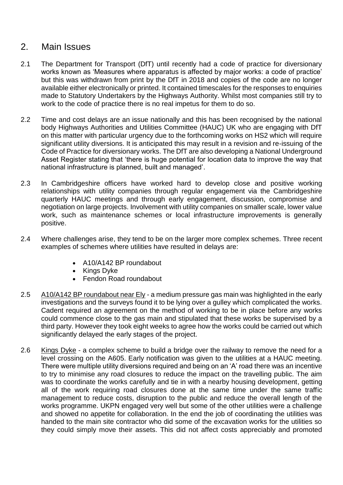### 2. Main Issues

- 2.1 The Department for Transport (DfT) until recently had a code of practice for diversionary works known as 'Measures where apparatus is affected by major works: a code of practice' but this was withdrawn from print by the DfT in 2018 and copies of the code are no longer available either electronically or printed. It contained timescales for the responses to enquiries made to Statutory Undertakers by the Highways Authority. Whilst most companies still try to work to the code of practice there is no real impetus for them to do so.
- 2.2 Time and cost delays are an issue nationally and this has been recognised by the national body Highways Authorities and Utilities Committee (HAUC) UK who are engaging with DfT on this matter with particular urgency due to the forthcoming works on HS2 which will require significant utility diversions. It is anticipated this may result in a revision and re-issuing of the Code of Practice for diversionary works. The DfT are also developing a National Underground Asset Register stating that 'there is huge potential for location data to improve the way that national infrastructure is planned, built and managed'.
- 2.3 In Cambridgeshire officers have worked hard to develop close and positive working relationships with utility companies through regular engagement via the Cambridgeshire quarterly HAUC meetings and through early engagement, discussion, compromise and negotiation on large projects. Involvement with utility companies on smaller scale, lower value work, such as maintenance schemes or local infrastructure improvements is generally positive.
- 2.4 Where challenges arise, they tend to be on the larger more complex schemes. Three recent examples of schemes where utilities have resulted in delays are:
	- A10/A142 BP roundabout
	- Kings Dyke
	- Fendon Road roundabout
- 2.5 A10/A142 BP roundabout near Ely a medium pressure gas main was highlighted in the early investigations and the surveys found it to be lying over a gulley which complicated the works. Cadent required an agreement on the method of working to be in place before any works could commence close to the gas main and stipulated that these works be supervised by a third party. However they took eight weeks to agree how the works could be carried out which significantly delayed the early stages of the project.
- 2.6 Kings Dyke a complex scheme to build a bridge over the railway to remove the need for a level crossing on the A605. Early notification was given to the utilities at a HAUC meeting. There were multiple utility diversions required and being on an 'A' road there was an incentive to try to minimise any road closures to reduce the impact on the travelling public. The aim was to coordinate the works carefully and tie in with a nearby housing development, getting all of the work requiring road closures done at the same time under the same traffic management to reduce costs, disruption to the public and reduce the overall length of the works programme. UKPN engaged very well but some of the other utilities were a challenge and showed no appetite for collaboration. In the end the job of coordinating the utilities was handed to the main site contractor who did some of the excavation works for the utilities so they could simply move their assets. This did not affect costs appreciably and promoted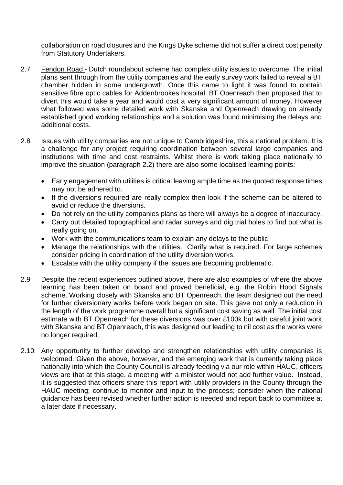collaboration on road closures and the Kings Dyke scheme did not suffer a direct cost penalty from Statutory Undertakers.

- 2.7 Fendon Road Dutch roundabout scheme had complex utility issues to overcome. The initial plans sent through from the utility companies and the early survey work failed to reveal a BT chamber hidden in some undergrowth. Once this came to light it was found to contain sensitive fibre optic cables for Addenbrookes hospital. BT Openreach then proposed that to divert this would take a year and would cost a very significant amount of money. However what followed was some detailed work with Skanska and Openreach drawing on already established good working relationships and a solution was found minimising the delays and additional costs.
- 2.8 Issues with utility companies are not unique to Cambridgeshire, this a national problem. It is a challenge for any project requiring coordination between several large companies and institutions with time and cost restraints. Whilst there is work taking place nationally to improve the situation (paragraph 2.2) there are also some localised learning points:
	- Early engagement with utilities is critical leaving ample time as the quoted response times may not be adhered to.
	- If the diversions required are really complex then look if the scheme can be altered to avoid or reduce the diversions.
	- Do not rely on the utility companies plans as there will always be a degree of inaccuracy.
	- Carry out detailed topographical and radar surveys and dig trial holes to find out what is really going on.
	- Work with the communications team to explain any delays to the public.
	- Manage the relationships with the utilities. Clarify what is required. For large schemes consider pricing in coordination of the utility diversion works.
	- Escalate with the utility company if the issues are becoming problematic.
- 2.9 Despite the recent experiences outlined above, there are also examples of where the above learning has been taken on board and proved beneficial, e.g. the Robin Hood Signals scheme. Working closely with Skanska and BT Openreach, the team designed out the need for further diversionary works before work began on site. This gave not only a reduction in the length of the work programme overall but a significant cost saving as well. The initial cost estimate with BT Openreach for these diversions was over £100k but with careful joint work with Skanska and BT Openreach, this was designed out leading to nil cost as the works were no longer required.
- 2.10 Any opportunity to further develop and strengthen relationships with utility companies is welcomed. Given the above, however, and the emerging work that is currently taking place nationally into which the County Council is already feeding via our role within HAUC, officers views are that at this stage, a meeting with a minister would not add further value. Instead, it is suggested that officers share this report with utility providers in the County through the HAUC meeting; continue to monitor and input to the process; consider when the national guidance has been revised whether further action is needed and report back to committee at a later date if necessary.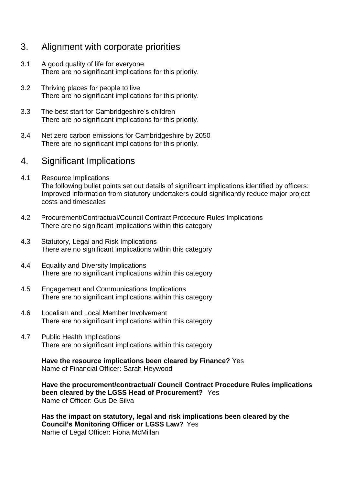## 3. Alignment with corporate priorities

- 3.1 A good quality of life for everyone There are no significant implications for this priority.
- 3.2 Thriving places for people to live There are no significant implications for this priority.
- 3.3 The best start for Cambridgeshire's children There are no significant implications for this priority.
- 3.4 Net zero carbon emissions for Cambridgeshire by 2050 There are no significant implications for this priority.

#### 4. Significant Implications

- 4.1 Resource Implications The following bullet points set out details of significant implications identified by officers: Improved information from statutory undertakers could significantly reduce major project costs and timescales
- 4.2 Procurement/Contractual/Council Contract Procedure Rules Implications There are no significant implications within this category
- 4.3 Statutory, Legal and Risk Implications There are no significant implications within this category
- 4.4 Equality and Diversity Implications There are no significant implications within this category
- 4.5 Engagement and Communications Implications There are no significant implications within this category
- 4.6 Localism and Local Member Involvement There are no significant implications within this category
- 4.7 Public Health Implications There are no significant implications within this category

**Have the resource implications been cleared by Finance?** Yes Name of Financial Officer: Sarah Heywood

**Have the procurement/contractual/ Council Contract Procedure Rules implications been cleared by the LGSS Head of Procurement?** Yes Name of Officer: Gus De Silva

**Has the impact on statutory, legal and risk implications been cleared by the Council's Monitoring Officer or LGSS Law?** Yes Name of Legal Officer: Fiona McMillan